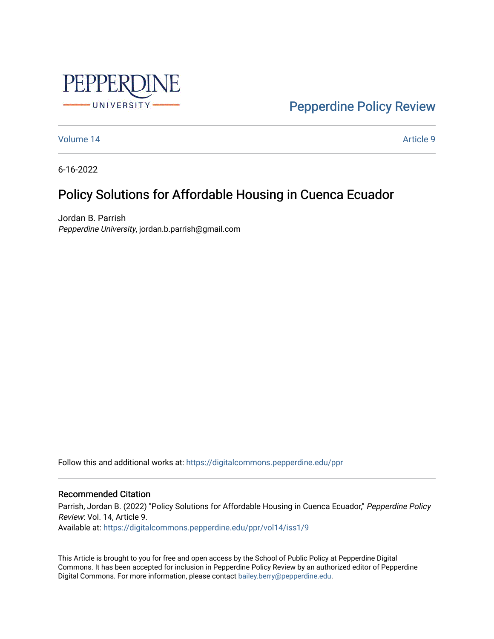

[Pepperdine Policy Review](https://digitalcommons.pepperdine.edu/ppr) 

[Volume 14](https://digitalcommons.pepperdine.edu/ppr/vol14) [Article 9](https://digitalcommons.pepperdine.edu/ppr/vol14/iss1/9) 

6-16-2022

# Policy Solutions for Affordable Housing in Cuenca Ecuador

Jordan B. Parrish Pepperdine University, jordan.b.parrish@gmail.com

Follow this and additional works at: [https://digitalcommons.pepperdine.edu/ppr](https://digitalcommons.pepperdine.edu/ppr?utm_source=digitalcommons.pepperdine.edu%2Fppr%2Fvol14%2Fiss1%2F9&utm_medium=PDF&utm_campaign=PDFCoverPages)

# Recommended Citation

Parrish, Jordan B. (2022) "Policy Solutions for Affordable Housing in Cuenca Ecuador," Pepperdine Policy Review: Vol. 14, Article 9. Available at: [https://digitalcommons.pepperdine.edu/ppr/vol14/iss1/9](https://digitalcommons.pepperdine.edu/ppr/vol14/iss1/9?utm_source=digitalcommons.pepperdine.edu%2Fppr%2Fvol14%2Fiss1%2F9&utm_medium=PDF&utm_campaign=PDFCoverPages)

This Article is brought to you for free and open access by the School of Public Policy at Pepperdine Digital Commons. It has been accepted for inclusion in Pepperdine Policy Review by an authorized editor of Pepperdine Digital Commons. For more information, please contact [bailey.berry@pepperdine.edu.](mailto:bailey.berry@pepperdine.edu)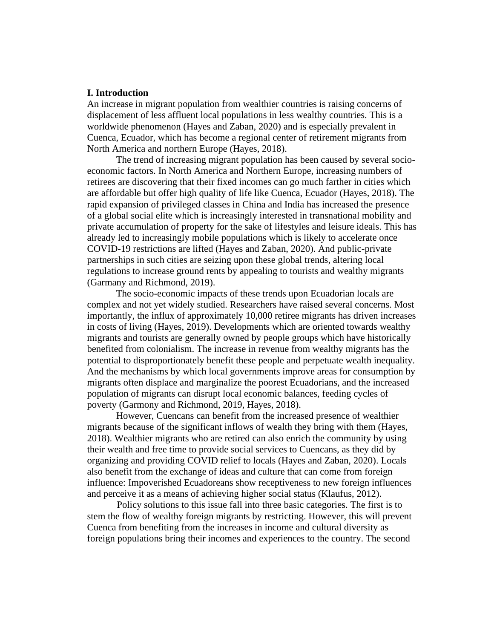# **I. Introduction**

An increase in migrant population from wealthier countries is raising concerns of displacement of less affluent local populations in less wealthy countries. This is a worldwide phenomenon (Hayes and Zaban, 2020) and is especially prevalent in Cuenca, Ecuador, which has become a regional center of retirement migrants from North America and northern Europe (Hayes, 2018).

The trend of increasing migrant population has been caused by several socioeconomic factors. In North America and Northern Europe, increasing numbers of retirees are discovering that their fixed incomes can go much farther in cities which are affordable but offer high quality of life like Cuenca, Ecuador (Hayes, 2018). The rapid expansion of privileged classes in China and India has increased the presence of a global social elite which is increasingly interested in transnational mobility and private accumulation of property for the sake of lifestyles and leisure ideals. This has already led to increasingly mobile populations which is likely to accelerate once COVID-19 restrictions are lifted (Hayes and Zaban, 2020). And public-private partnerships in such cities are seizing upon these global trends, altering local regulations to increase ground rents by appealing to tourists and wealthy migrants (Garmany and Richmond, 2019).

The socio-economic impacts of these trends upon Ecuadorian locals are complex and not yet widely studied. Researchers have raised several concerns. Most importantly, the influx of approximately 10,000 retiree migrants has driven increases in costs of living (Hayes, 2019). Developments which are oriented towards wealthy migrants and tourists are generally owned by people groups which have historically benefited from colonialism. The increase in revenue from wealthy migrants has the potential to disproportionately benefit these people and perpetuate wealth inequality. And the mechanisms by which local governments improve areas for consumption by migrants often displace and marginalize the poorest Ecuadorians, and the increased population of migrants can disrupt local economic balances, feeding cycles of poverty (Garmony and Richmond, 2019, Hayes, 2018).

However, Cuencans can benefit from the increased presence of wealthier migrants because of the significant inflows of wealth they bring with them (Hayes, 2018). Wealthier migrants who are retired can also enrich the community by using their wealth and free time to provide social services to Cuencans, as they did by organizing and providing COVID relief to locals (Hayes and Zaban, 2020). Locals also benefit from the exchange of ideas and culture that can come from foreign influence: Impoverished Ecuadoreans show receptiveness to new foreign influences and perceive it as a means of achieving higher social status (Klaufus, 2012).

Policy solutions to this issue fall into three basic categories. The first is to stem the flow of wealthy foreign migrants by restricting. However, this will prevent Cuenca from benefiting from the increases in income and cultural diversity as foreign populations bring their incomes and experiences to the country. The second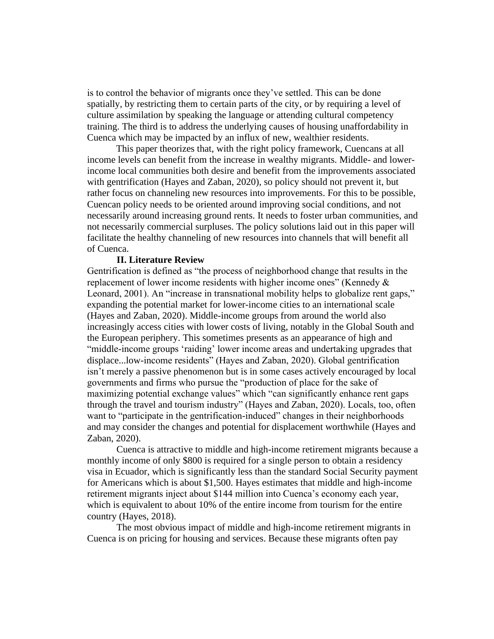is to control the behavior of migrants once they've settled. This can be done spatially, by restricting them to certain parts of the city, or by requiring a level of culture assimilation by speaking the language or attending cultural competency training. The third is to address the underlying causes of housing unaffordability in Cuenca which may be impacted by an influx of new, wealthier residents.

This paper theorizes that, with the right policy framework, Cuencans at all income levels can benefit from the increase in wealthy migrants. Middle- and lowerincome local communities both desire and benefit from the improvements associated with gentrification (Hayes and Zaban, 2020), so policy should not prevent it, but rather focus on channeling new resources into improvements. For this to be possible, Cuencan policy needs to be oriented around improving social conditions, and not necessarily around increasing ground rents. It needs to foster urban communities, and not necessarily commercial surpluses. The policy solutions laid out in this paper will facilitate the healthy channeling of new resources into channels that will benefit all of Cuenca.

## **II. Literature Review**

Gentrification is defined as "the process of neighborhood change that results in the replacement of lower income residents with higher income ones" (Kennedy & Leonard, 2001). An "increase in transnational mobility helps to globalize rent gaps," expanding the potential market for lower-income cities to an international scale (Hayes and Zaban, 2020). Middle-income groups from around the world also increasingly access cities with lower costs of living, notably in the Global South and the European periphery. This sometimes presents as an appearance of high and "middle-income groups 'raiding' lower income areas and undertaking upgrades that displace...low-income residents" (Hayes and Zaban, 2020). Global gentrification isn't merely a passive phenomenon but is in some cases actively encouraged by local governments and firms who pursue the "production of place for the sake of maximizing potential exchange values" which "can significantly enhance rent gaps through the travel and tourism industry" (Hayes and Zaban, 2020). Locals, too, often want to "participate in the gentrification-induced" changes in their neighborhoods and may consider the changes and potential for displacement worthwhile (Hayes and Zaban, 2020).

Cuenca is attractive to middle and high-income retirement migrants because a monthly income of only \$800 is required for a single person to obtain a residency visa in Ecuador, which is significantly less than the standard Social Security payment for Americans which is about \$1,500. Hayes estimates that middle and high-income retirement migrants inject about \$144 million into Cuenca's economy each year, which is equivalent to about 10% of the entire income from tourism for the entire country (Hayes, 2018).

The most obvious impact of middle and high-income retirement migrants in Cuenca is on pricing for housing and services. Because these migrants often pay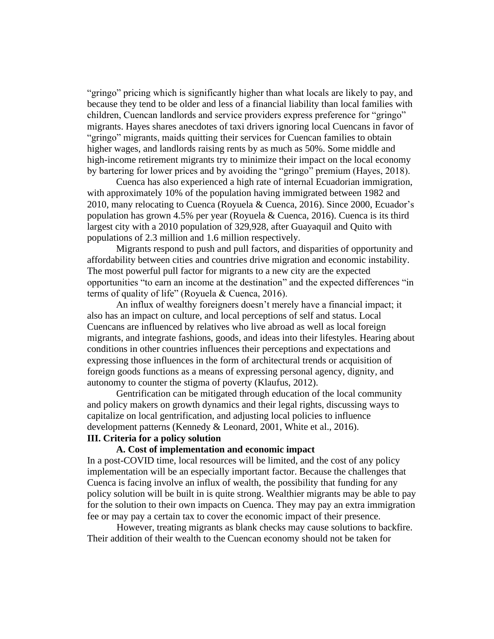"gringo" pricing which is significantly higher than what locals are likely to pay, and because they tend to be older and less of a financial liability than local families with children, Cuencan landlords and service providers express preference for "gringo" migrants. Hayes shares anecdotes of taxi drivers ignoring local Cuencans in favor of "gringo" migrants, maids quitting their services for Cuencan families to obtain higher wages, and landlords raising rents by as much as 50%. Some middle and high-income retirement migrants try to minimize their impact on the local economy by bartering for lower prices and by avoiding the "gringo" premium (Hayes, 2018).

Cuenca has also experienced a high rate of internal Ecuadorian immigration, with approximately 10% of the population having immigrated between 1982 and 2010, many relocating to Cuenca (Royuela & Cuenca, 2016). Since 2000, Ecuador's population has grown 4.5% per year (Royuela & Cuenca, 2016). Cuenca is its third largest city with a 2010 population of 329,928, after Guayaquil and Quito with populations of 2.3 million and 1.6 million respectively.

Migrants respond to push and pull factors, and disparities of opportunity and affordability between cities and countries drive migration and economic instability. The most powerful pull factor for migrants to a new city are the expected opportunities "to earn an income at the destination" and the expected differences "in terms of quality of life" (Royuela & Cuenca, 2016).

An influx of wealthy foreigners doesn't merely have a financial impact; it also has an impact on culture, and local perceptions of self and status. Local Cuencans are influenced by relatives who live abroad as well as local foreign migrants, and integrate fashions, goods, and ideas into their lifestyles. Hearing about conditions in other countries influences their perceptions and expectations and expressing those influences in the form of architectural trends or acquisition of foreign goods functions as a means of expressing personal agency, dignity, and autonomy to counter the stigma of poverty (Klaufus, 2012).

Gentrification can be mitigated through education of the local community and policy makers on growth dynamics and their legal rights, discussing ways to capitalize on local gentrification, and adjusting local policies to influence development patterns (Kennedy & Leonard, 2001, White et al., 2016). **III. Criteria for a policy solution** 

#### **A. Cost of implementation and economic impact**

In a post-COVID time, local resources will be limited, and the cost of any policy implementation will be an especially important factor. Because the challenges that Cuenca is facing involve an influx of wealth, the possibility that funding for any policy solution will be built in is quite strong. Wealthier migrants may be able to pay for the solution to their own impacts on Cuenca. They may pay an extra immigration fee or may pay a certain tax to cover the economic impact of their presence.

However, treating migrants as blank checks may cause solutions to backfire. Their addition of their wealth to the Cuencan economy should not be taken for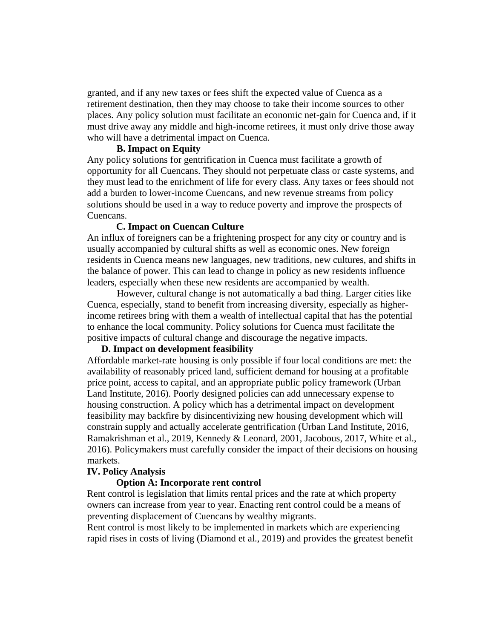granted, and if any new taxes or fees shift the expected value of Cuenca as a retirement destination, then they may choose to take their income sources to other places. Any policy solution must facilitate an economic net-gain for Cuenca and, if it must drive away any middle and high-income retirees, it must only drive those away who will have a detrimental impact on Cuenca.

# **B. Impact on Equity**

Any policy solutions for gentrification in Cuenca must facilitate a growth of opportunity for all Cuencans. They should not perpetuate class or caste systems, and they must lead to the enrichment of life for every class. Any taxes or fees should not add a burden to lower-income Cuencans, and new revenue streams from policy solutions should be used in a way to reduce poverty and improve the prospects of Cuencans.

# **C. Impact on Cuencan Culture**

An influx of foreigners can be a frightening prospect for any city or country and is usually accompanied by cultural shifts as well as economic ones. New foreign residents in Cuenca means new languages, new traditions, new cultures, and shifts in the balance of power. This can lead to change in policy as new residents influence leaders, especially when these new residents are accompanied by wealth.

However, cultural change is not automatically a bad thing. Larger cities like Cuenca, especially, stand to benefit from increasing diversity, especially as higherincome retirees bring with them a wealth of intellectual capital that has the potential to enhance the local community. Policy solutions for Cuenca must facilitate the positive impacts of cultural change and discourage the negative impacts.

# **D. Impact on development feasibility**

Affordable market-rate housing is only possible if four local conditions are met: the availability of reasonably priced land, sufficient demand for housing at a profitable price point, access to capital, and an appropriate public policy framework (Urban Land Institute, 2016). Poorly designed policies can add unnecessary expense to housing construction. A policy which has a detrimental impact on development feasibility may backfire by disincentivizing new housing development which will constrain supply and actually accelerate gentrification (Urban Land Institute, 2016, Ramakrishman et al., 2019, Kennedy & Leonard, 2001, Jacobous, 2017, White et al., 2016). Policymakers must carefully consider the impact of their decisions on housing markets.

# **IV. Policy Analysis**

# **Option A: Incorporate rent control**

Rent control is legislation that limits rental prices and the rate at which property owners can increase from year to year. Enacting rent control could be a means of preventing displacement of Cuencans by wealthy migrants.

Rent control is most likely to be implemented in markets which are experiencing rapid rises in costs of living (Diamond et al., 2019) and provides the greatest benefit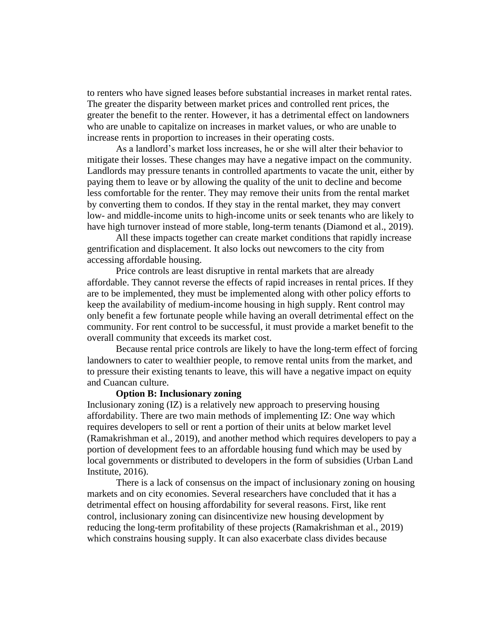to renters who have signed leases before substantial increases in market rental rates. The greater the disparity between market prices and controlled rent prices, the greater the benefit to the renter. However, it has a detrimental effect on landowners who are unable to capitalize on increases in market values, or who are unable to increase rents in proportion to increases in their operating costs.

As a landlord's market loss increases, he or she will alter their behavior to mitigate their losses. These changes may have a negative impact on the community. Landlords may pressure tenants in controlled apartments to vacate the unit, either by paying them to leave or by allowing the quality of the unit to decline and become less comfortable for the renter. They may remove their units from the rental market by converting them to condos. If they stay in the rental market, they may convert low- and middle-income units to high-income units or seek tenants who are likely to have high turnover instead of more stable, long-term tenants (Diamond et al., 2019).

All these impacts together can create market conditions that rapidly increase gentrification and displacement. It also locks out newcomers to the city from accessing affordable housing.

Price controls are least disruptive in rental markets that are already affordable. They cannot reverse the effects of rapid increases in rental prices. If they are to be implemented, they must be implemented along with other policy efforts to keep the availability of medium-income housing in high supply. Rent control may only benefit a few fortunate people while having an overall detrimental effect on the community. For rent control to be successful, it must provide a market benefit to the overall community that exceeds its market cost.

Because rental price controls are likely to have the long-term effect of forcing landowners to cater to wealthier people, to remove rental units from the market, and to pressure their existing tenants to leave, this will have a negative impact on equity and Cuancan culture.

#### **Option B: Inclusionary zoning**

Inclusionary zoning (IZ) is a relatively new approach to preserving housing affordability. There are two main methods of implementing IZ: One way which requires developers to sell or rent a portion of their units at below market level (Ramakrishman et al., 2019), and another method which requires developers to pay a portion of development fees to an affordable housing fund which may be used by local governments or distributed to developers in the form of subsidies (Urban Land Institute, 2016).

There is a lack of consensus on the impact of inclusionary zoning on housing markets and on city economies. Several researchers have concluded that it has a detrimental effect on housing affordability for several reasons. First, like rent control, inclusionary zoning can disincentivize new housing development by reducing the long-term profitability of these projects (Ramakrishman et al., 2019) which constrains housing supply. It can also exacerbate class divides because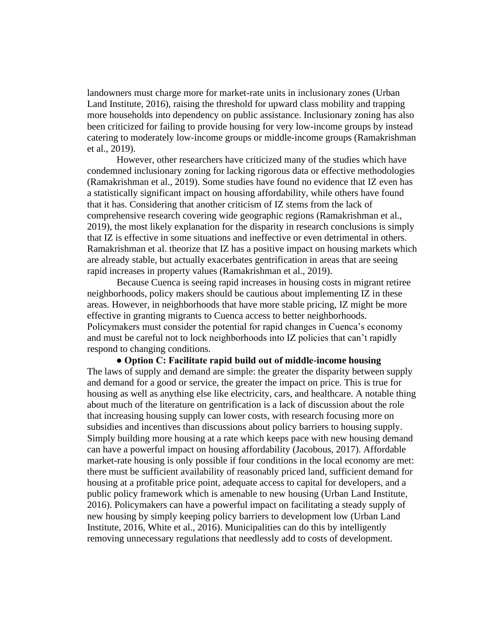landowners must charge more for market-rate units in inclusionary zones (Urban Land Institute, 2016), raising the threshold for upward class mobility and trapping more households into dependency on public assistance. Inclusionary zoning has also been criticized for failing to provide housing for very low-income groups by instead catering to moderately low-income groups or middle-income groups (Ramakrishman et al., 2019).

However, other researchers have criticized many of the studies which have condemned inclusionary zoning for lacking rigorous data or effective methodologies (Ramakrishman et al., 2019). Some studies have found no evidence that IZ even has a statistically significant impact on housing affordability, while others have found that it has. Considering that another criticism of IZ stems from the lack of comprehensive research covering wide geographic regions (Ramakrishman et al., 2019), the most likely explanation for the disparity in research conclusions is simply that IZ is effective in some situations and ineffective or even detrimental in others. Ramakrishman et al. theorize that IZ has a positive impact on housing markets which are already stable, but actually exacerbates gentrification in areas that are seeing rapid increases in property values (Ramakrishman et al., 2019).

Because Cuenca is seeing rapid increases in housing costs in migrant retiree neighborhoods, policy makers should be cautious about implementing IZ in these areas. However, in neighborhoods that have more stable pricing, IZ might be more effective in granting migrants to Cuenca access to better neighborhoods. Policymakers must consider the potential for rapid changes in Cuenca's economy and must be careful not to lock neighborhoods into IZ policies that can't rapidly respond to changing conditions.

**● Option C: Facilitate rapid build out of middle-income housing**  The laws of supply and demand are simple: the greater the disparity between supply and demand for a good or service, the greater the impact on price. This is true for housing as well as anything else like electricity, cars, and healthcare. A notable thing about much of the literature on gentrification is a lack of discussion about the role that increasing housing supply can lower costs, with research focusing more on subsidies and incentives than discussions about policy barriers to housing supply. Simply building more housing at a rate which keeps pace with new housing demand can have a powerful impact on housing affordability (Jacobous, 2017). Affordable market-rate housing is only possible if four conditions in the local economy are met: there must be sufficient availability of reasonably priced land, sufficient demand for housing at a profitable price point, adequate access to capital for developers, and a public policy framework which is amenable to new housing (Urban Land Institute, 2016). Policymakers can have a powerful impact on facilitating a steady supply of new housing by simply keeping policy barriers to development low (Urban Land Institute, 2016, White et al., 2016). Municipalities can do this by intelligently removing unnecessary regulations that needlessly add to costs of development.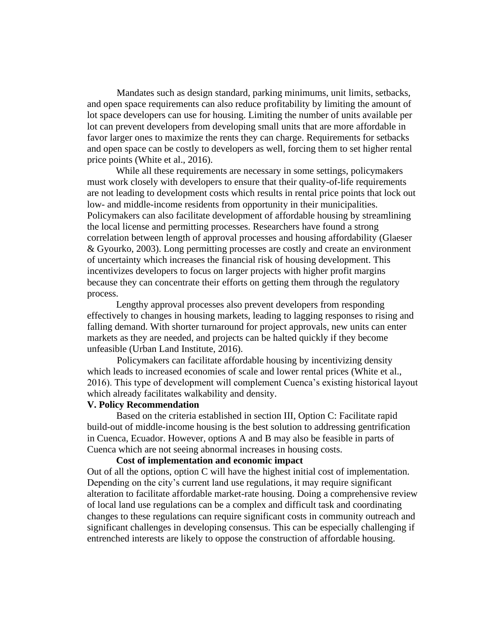Mandates such as design standard, parking minimums, unit limits, setbacks, and open space requirements can also reduce profitability by limiting the amount of lot space developers can use for housing. Limiting the number of units available per lot can prevent developers from developing small units that are more affordable in favor larger ones to maximize the rents they can charge. Requirements for setbacks and open space can be costly to developers as well, forcing them to set higher rental price points (White et al., 2016).

While all these requirements are necessary in some settings, policymakers must work closely with developers to ensure that their quality-of-life requirements are not leading to development costs which results in rental price points that lock out low- and middle-income residents from opportunity in their municipalities. Policymakers can also facilitate development of affordable housing by streamlining the local license and permitting processes. Researchers have found a strong correlation between length of approval processes and housing affordability (Glaeser & Gyourko, 2003). Long permitting processes are costly and create an environment of uncertainty which increases the financial risk of housing development. This incentivizes developers to focus on larger projects with higher profit margins because they can concentrate their efforts on getting them through the regulatory process.

Lengthy approval processes also prevent developers from responding effectively to changes in housing markets, leading to lagging responses to rising and falling demand. With shorter turnaround for project approvals, new units can enter markets as they are needed, and projects can be halted quickly if they become unfeasible (Urban Land Institute, 2016).

Policymakers can facilitate affordable housing by incentivizing density which leads to increased economies of scale and lower rental prices (White et al., 2016). This type of development will complement Cuenca's existing historical layout which already facilitates walkability and density.

## **V. Policy Recommendation**

Based on the criteria established in section III, Option C: Facilitate rapid build-out of middle-income housing is the best solution to addressing gentrification in Cuenca, Ecuador. However, options A and B may also be feasible in parts of Cuenca which are not seeing abnormal increases in housing costs.

## **Cost of implementation and economic impact**

Out of all the options, option C will have the highest initial cost of implementation. Depending on the city's current land use regulations, it may require significant alteration to facilitate affordable market-rate housing. Doing a comprehensive review of local land use regulations can be a complex and difficult task and coordinating changes to these regulations can require significant costs in community outreach and significant challenges in developing consensus. This can be especially challenging if entrenched interests are likely to oppose the construction of affordable housing.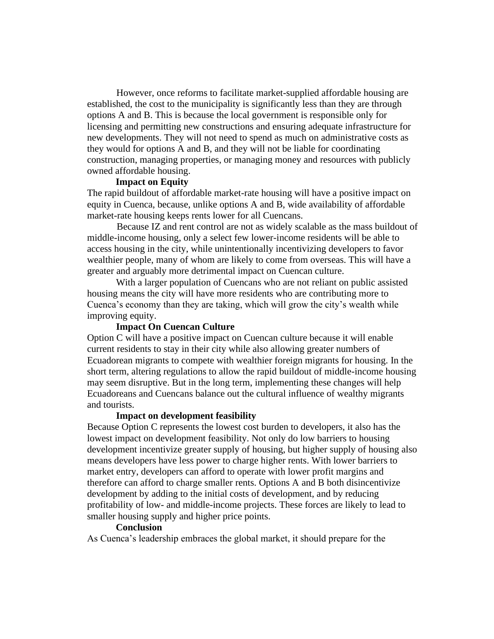However, once reforms to facilitate market-supplied affordable housing are established, the cost to the municipality is significantly less than they are through options A and B. This is because the local government is responsible only for licensing and permitting new constructions and ensuring adequate infrastructure for new developments. They will not need to spend as much on administrative costs as they would for options A and B, and they will not be liable for coordinating construction, managing properties, or managing money and resources with publicly owned affordable housing.

## **Impact on Equity**

The rapid buildout of affordable market-rate housing will have a positive impact on equity in Cuenca, because, unlike options A and B, wide availability of affordable market-rate housing keeps rents lower for all Cuencans.

Because IZ and rent control are not as widely scalable as the mass buildout of middle-income housing, only a select few lower-income residents will be able to access housing in the city, while unintentionally incentivizing developers to favor wealthier people, many of whom are likely to come from overseas. This will have a greater and arguably more detrimental impact on Cuencan culture.

With a larger population of Cuencans who are not reliant on public assisted housing means the city will have more residents who are contributing more to Cuenca's economy than they are taking, which will grow the city's wealth while improving equity.

# **Impact On Cuencan Culture**

Option C will have a positive impact on Cuencan culture because it will enable current residents to stay in their city while also allowing greater numbers of Ecuadorean migrants to compete with wealthier foreign migrants for housing. In the short term, altering regulations to allow the rapid buildout of middle-income housing may seem disruptive. But in the long term, implementing these changes will help Ecuadoreans and Cuencans balance out the cultural influence of wealthy migrants and tourists.

# **Impact on development feasibility**

Because Option C represents the lowest cost burden to developers, it also has the lowest impact on development feasibility. Not only do low barriers to housing development incentivize greater supply of housing, but higher supply of housing also means developers have less power to charge higher rents. With lower barriers to market entry, developers can afford to operate with lower profit margins and therefore can afford to charge smaller rents. Options A and B both disincentivize development by adding to the initial costs of development, and by reducing profitability of low- and middle-income projects. These forces are likely to lead to smaller housing supply and higher price points.

# **Conclusion**

As Cuenca's leadership embraces the global market, it should prepare for the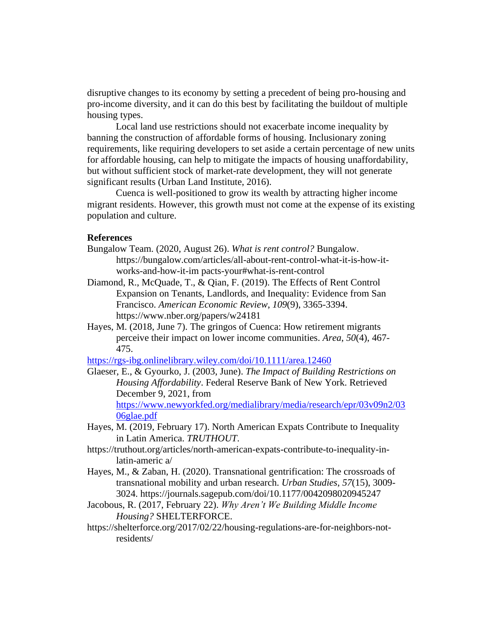disruptive changes to its economy by setting a precedent of being pro-housing and pro-income diversity, and it can do this best by facilitating the buildout of multiple housing types.

Local land use restrictions should not exacerbate income inequality by banning the construction of affordable forms of housing. Inclusionary zoning requirements, like requiring developers to set aside a certain percentage of new units for affordable housing, can help to mitigate the impacts of housing unaffordability, but without sufficient stock of market-rate development, they will not generate significant results (Urban Land Institute, 2016).

Cuenca is well-positioned to grow its wealth by attracting higher income migrant residents. However, this growth must not come at the expense of its existing population and culture.

## **References**

- Bungalow Team. (2020, August 26). *What is rent control?* Bungalow. https://bungalow.com/articles/all-about-rent-control-what-it-is-how-itworks-and-how-it-im pacts-your#what-is-rent-control
- Diamond, R., McQuade, T., & Qian, F. (2019). The Effects of Rent Control Expansion on Tenants, Landlords, and Inequality: Evidence from San Francisco. *American Economic Review*, *109*(9), 3365-3394. https://www.nber.org/papers/w24181
- Hayes, M. (2018, June 7). The gringos of Cuenca: How retirement migrants perceive their impact on lower income communities. *Area*, *50*(4), 467- 475.

https://rgs-ibg.onlinelibrary.wiley.com/doi/10.1111/area.12460

- Glaeser, E., & Gyourko, J. (2003, June). *The Impact of Building Restrictions on Housing Affordability*. Federal Reserve Bank of New York. Retrieved December 9, 2021, from https://www.newyorkfed.org/medialibrary/media/research/epr/03v09n2/03 06glae.pdf
- Hayes, M. (2019, February 17). North American Expats Contribute to Inequality in Latin America. *TRUTHOUT*.
- https://truthout.org/articles/north-american-expats-contribute-to-inequality-inlatin-americ a/
- Hayes, M., & Zaban, H. (2020). Transnational gentrification: The crossroads of transnational mobility and urban research. *Urban Studies*, *57*(15), 3009- 3024. https://journals.sagepub.com/doi/10.1177/0042098020945247
- Jacobous, R. (2017, February 22). *Why Aren't We Building Middle Income Housing?* SHELTERFORCE.
- https://shelterforce.org/2017/02/22/housing-regulations-are-for-neighbors-notresidents/